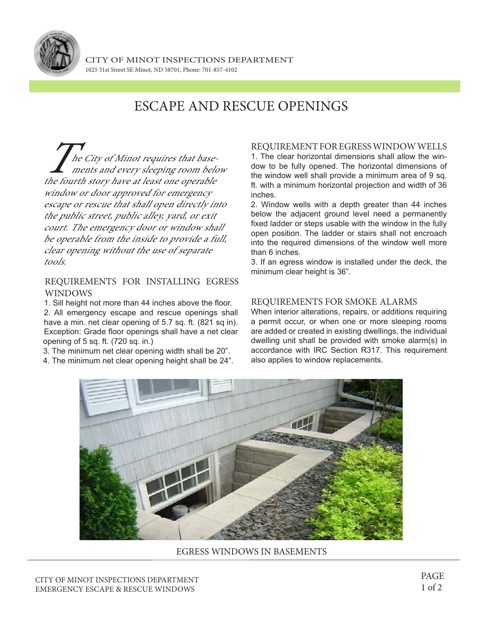

# ESCAPE AND RESCUE OPENINGS

 $\int$  he City of Minot requires that basements and every sleeping room below the fourth story have at least one operable window or door approved for emergency escape or rescue that shall open directly into the public street, public alley, yard, or exit court. The emergency door or window shall be operable from the inside to provide a full, clear opening without the use of separate tools.

### REQUIREMENTS FOR INSTALLING EGRESS WINDOWS

1. Sill height not more than 44 inches above the floor.

2. All emergency escape and rescue openings shall have a min. net clear opening of 5.7 sq. ft. (821 sq in). Exception: Grade floor openings shall have a net clear opening of 5 sq. ft. (720 sq. in.)

3. The minimum net clear opening width shall be 20".

4. The minimum net clear opening height shall be 24".

#### REQUIREMENT FOR EGRESS WINDOW WELLS 1. The clear horizontal dimensions shall allow the window to be fully opened. The horizontal dimensions of the window well shall provide a minimum area of 9 sq. ft. with a minimum horizontal projection and width of 36 inches.

2. Window wells with a depth greater than 44 inches below the adjacent ground level need a permanently fixed ladder or steps usable with the window in the fully open position. The ladder or stairs shall not encroach into the required dimensions of the window well more than 6 inches.

3. If an egress window is installed under the deck, the minimum clear height is 36".

### REQUIREMENTS FOR SMOKE ALARMS

When interior alterations, repairs, or additions requiring a permit occur, or when one or more sleeping rooms are added or created in existing dwellings, the individual dwelling unit shall be provided with smoke alarm(s) in accordance with IRC Section R317. This requirement also applies to window replacements.



#### EGRESS WINDOWS IN BASEMENTS